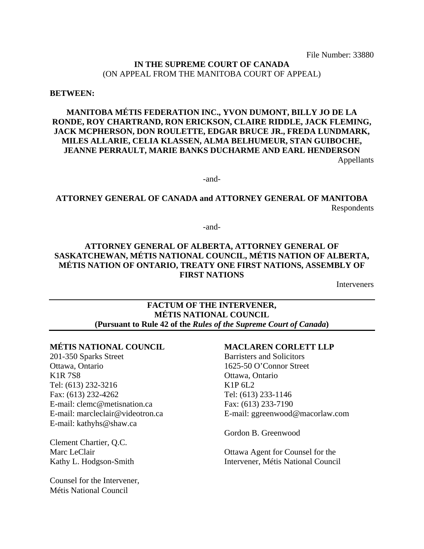File Number: 33880

# **IN THE SUPREME COURT OF CANADA**  (ON APPEAL FROM THE MANITOBA COURT OF APPEAL)

**BETWEEN:** 

# **MANITOBA MÉTIS FEDERATION INC., YVON DUMONT, BILLY JO DE LA RONDE, ROY CHARTRAND, RON ERICKSON, CLAIRE RIDDLE, JACK FLEMING, JACK MCPHERSON, DON ROULETTE, EDGAR BRUCE JR., FREDA LUNDMARK, MILES ALLARIE, CELIA KLASSEN, ALMA BELHUMEUR, STAN GUIBOCHE, JEANNE PERRAULT, MARIE BANKS DUCHARME AND EARL HENDERSON**  Appellants

-and-

# **ATTORNEY GENERAL OF CANADA and ATTORNEY GENERAL OF MANITOBA**  Respondents

-and-

# **ATTORNEY GENERAL OF ALBERTA, ATTORNEY GENERAL OF SASKATCHEWAN, MÉTIS NATIONAL COUNCIL, MÉTIS NATION OF ALBERTA, MÉTIS NATION OF ONTARIO, TREATY ONE FIRST NATIONS, ASSEMBLY OF FIRST NATIONS**

Interveners

# **FACTUM OF THE INTERVENER, MÉTIS NATIONAL COUNCIL (Pursuant to Rule 42 of the** *Rules of the Supreme Court of Canada***)**

# **MÉTIS NATIONAL COUNCIL MACLAREN CORLETT LLP**

201-350 Sparks Street Barristers and Solicitors Ottawa, Ontario 1625-50 O'Connor Street K1R 7S8 Ottawa, Ontario Tel: (613) 232-3216 K1P 6L2 Fax: (613) 232-4262 Tel: (613) 233-1146 E-mail: clemc@metisnation.ca Fax: (613) 233-7190 E-mail: kathyhs@shaw.ca

Clement Chartier, Q.C.

Counsel for the Intervener, Métis National Council

E-mail: marcleclair@videotron.ca E-mail: ggreenwood@macorlaw.com

Gordon B. Greenwood

Marc LeClair **Counsel 1 Counsel 1** Ottawa Agent for Counsel for the Kathy L. Hodgson-Smith Intervener, Métis National Council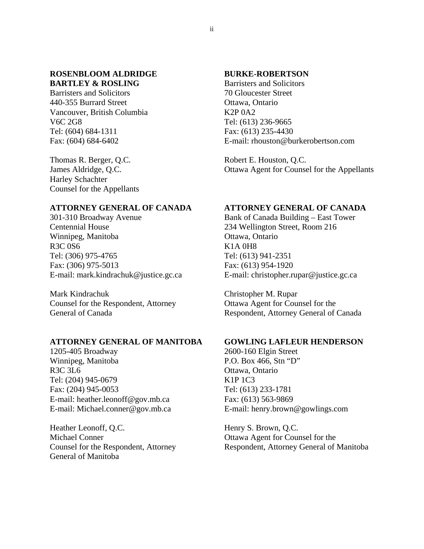# **ROSENBLOOM ALDRIDGE BURKE-ROBERTSON BARTLEY & ROSLING** Barristers and Solicitors

Barristers and Solicitors 70 Gloucester Street 440-355 Burrard Street Ottawa, Ontario Vancouver, British Columbia K2P 0A2 V6C 2G8 Tel: (613) 236-9665 Tel: (604) 684-1311 Fax: (613) 235-4430

Thomas R. Berger, Q.C. Robert E. Houston, Q.C. Harley Schachter Counsel for the Appellants

# **ATTORNEY GENERAL OF CANADA ATTORNEY GENERAL OF CANADA**

Centennial House 234 Wellington Street, Room 216 Winnipeg, Manitoba Ottawa, Ontario R3C 0S6 K1A 0H8 Tel: (306) 975-4765 Tel: (613) 941-2351 Fax: (306) 975-5013 Fax: (613) 954-1920 E-mail: mark.kindrachuk@justice.gc.ca E-mail: christopher.rupar@justice.gc.ca

Mark Kindrachuk Christopher M. Rupar Counsel for the Respondent, Attorney Ottawa Agent for Counsel for the

## **ATTORNEY GENERAL OF MANITOBA GOWLING LAFLEUR HENDERSON**

1205-405 Broadway 2600-160 Elgin Street Winnipeg, Manitoba P.O. Box 466, Stn "D" R3C 3L6 Ottawa, Ontario Tel: (204) 945-0679 K1P 1C3 Fax: (204) 945-0053 Tel: (613) 233-1781 E-mail: heather.leonoff@gov.mb.ca Fax: (613) 563-9869 E-mail: Michael.conner@gov.mb.ca E-mail: henry.brown@gowlings.com

Heather Leonoff, Q.C. Henry S. Brown, Q.C. Michael Conner Counsel for Counsel for the Ottawa Agent for Counsel for the General of Manitoba

Fax: (604) 684-6402 E-mail: rhouston@burkerobertson.com

James Aldridge, Q.C. **Ottawa Agent for Counsel for the Appellants** 

301-310 Broadway Avenue Bank of Canada Building – East Tower

General of Canada Respondent, Attorney General of Canada

Counsel for the Respondent, Attorney Respondent, Attorney General of Manitoba

ii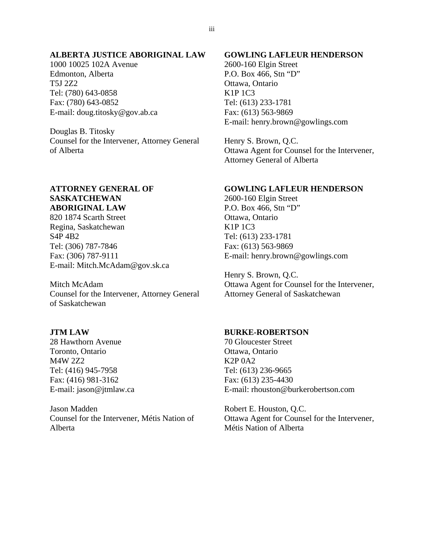# **ALBERTA JUSTICE ABORIGINAL LAW GOWLING LAFLEUR HENDERSON**

1000 10025 102A Avenue 2600-160 Elgin Street Edmonton, Alberta P.O. Box 466, Stn "D" T5J 2Z2 Ottawa, Ontario Tel: (780) 643-0858 K1P 1C3 Fax: (780) 643-0852 Tel: (613) 233-1781 E-mail: doug.titosky@gov.ab.ca Fax: (613) 563-9869

Douglas B. Titosky Counsel for the Intervener, Attorney General Henry S. Brown, Q.C. of Alberta Ottawa Agent for Counsel for the Intervener,

# **SASKATCHEWAN** 2600-160 Elgin Street **ABORIGINAL LAW** P.O. Box 466, Stn "D"

820 1874 Scarth Street **Ottawa, Ontario** Regina, Saskatchewan K1P 1C3 S4P 4B2 Tel: (613) 233-1781 Tel: (306) 787-7846 Fax: (613) 563-9869 E-mail: Mitch.McAdam@gov.sk.ca

Counsel for the Intervener, Attorney General Attorney General of Saskatchewan of Saskatchewan

28 Hawthorn Avenue 70 Gloucester Street Toronto, Ontario Ottawa, Ontario M4W 2Z2 K2P 0A2 Tel: (416) 945-7958 Tel: (613) 236-9665 Fax: (416) 981-3162 Fax: (613) 235-4430

Jason Madden Robert E. Houston, O.C. Alberta Métis Nation of Alberta

E-mail: henry.brown@gowlings.com

Attorney General of Alberta

### **ATTORNEY GENERAL OF GOWLING LAFLEUR HENDERSON**

Fax: (306) 787-9111 E-mail: henry.brown@gowlings.com

 Henry S. Brown, Q.C. Mitch McAdam Ottawa Agent for Counsel for the Intervener,

# **JTM LAW BURKE-ROBERTSON**

E-mail: jason@jtmlaw.ca E-mail: rhouston@burkerobertson.com

Counsel for the Intervener, Métis Nation of Ottawa Agent for Counsel for the Intervener,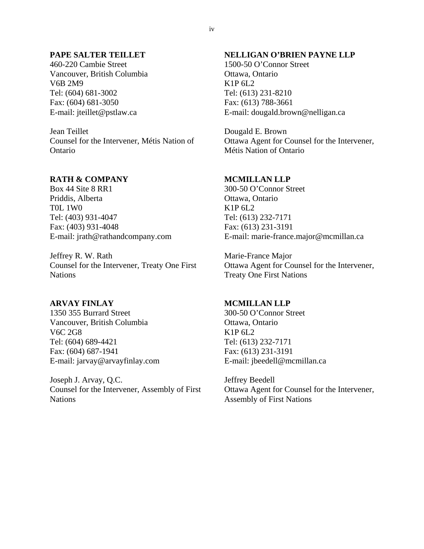460-220 Cambie Street 1500-50 O'Connor Street Vancouver, British Columbia **Calumbia** Columbia Columbia Columbia Columbia Columbia Columbia Columbia Columbia Columbia Columbia Columbia Columbia Columbia Columbia Columbia Columbia Columbia Columbia Columbia Columbia Col V6B 2M9 K1P 6L2 Tel: (604) 681-3002 Tel: (613) 231-8210 Fax: (604) 681-3050<br>
E-mail: jteillet@pstlaw.ca<br>
E-mail: dougald.brov

Jean Teillet Dougald E. Brown Ontario Métis Nation of Ontario

# **RATH & COMPANY MCMILLAN LLP**

Box 44 Site 8 RR1 300-50 O'Connor Street Priddis, Alberta **Ottawa**, Ontario T0L 1W0 K1P 6L2 Tel: (403) 931-4047 Tel: (613) 232-7171 Fax: (403) 931-4048 Fax: (613) 231-3191

Jeffrey R. W. Rath Marie-France Major Nations Treaty One First Nations

# **ARVAY FINLAY MCMILLAN LLP**

1350 355 Burrard Street 300-50 O'Connor Street Vancouver, British Columbia **Ottawa**, Ontario V6C 2G8 K1P 6L2 Tel: (604) 689-4421 Tel: (613) 232-7171 Fax: (604) 687-1941 Fax: (613) 231-3191 E-mail: jarvay@arvayfinlay.com E-mail: jbeedell@mcmillan.ca

Joseph J. Arvay, Q.C. Jeffrey Beedell Counsel for the Intervener, Assembly of First Ottawa Agent for Counsel for the Intervener, Nations Assembly of First Nations

## **PAPE SALTER TEILLET NELLIGAN O'BRIEN PAYNE LLP**

E-mail: dougald.brown@nelligan.ca

Counsel for the Intervener, Métis Nation of Ottawa Agent for Counsel for the Intervener,

E-mail: jrath@rathandcompany.com E-mail: marie-france.major@mcmillan.ca

Counsel for the Intervener, Treaty One First Ottawa Agent for Counsel for the Intervener,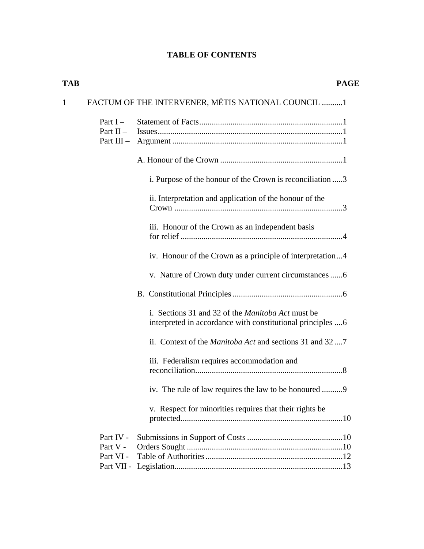# **TABLE OF CONTENTS**

| <b>TAB</b> |                                         | <b>PAGE</b>                                                                                                            |
|------------|-----------------------------------------|------------------------------------------------------------------------------------------------------------------------|
| 1          |                                         | FACTUM OF THE INTERVENER, MÉTIS NATIONAL COUNCIL 1                                                                     |
|            | Part $I -$<br>Part $II -$<br>Part III – |                                                                                                                        |
|            |                                         |                                                                                                                        |
|            |                                         | i. Purpose of the honour of the Crown is reconciliation 3                                                              |
|            |                                         | ii. Interpretation and application of the honour of the                                                                |
|            |                                         | iii. Honour of the Crown as an independent basis                                                                       |
|            |                                         | iv. Honour of the Crown as a principle of interpretation4                                                              |
|            |                                         |                                                                                                                        |
|            |                                         |                                                                                                                        |
|            |                                         | i. Sections 31 and 32 of the <i>Manitoba Act</i> must be<br>interpreted in accordance with constitutional principles 6 |
|            |                                         | ii. Context of the <i>Manitoba Act</i> and sections 31 and 327                                                         |
|            |                                         | iii. Federalism requires accommodation and                                                                             |
|            |                                         | iv. The rule of law requires the law to be honoured 9                                                                  |
|            |                                         | v. Respect for minorities requires that their rights be                                                                |
|            | Part IV -<br>Part V -<br>Part VI -      |                                                                                                                        |
|            |                                         |                                                                                                                        |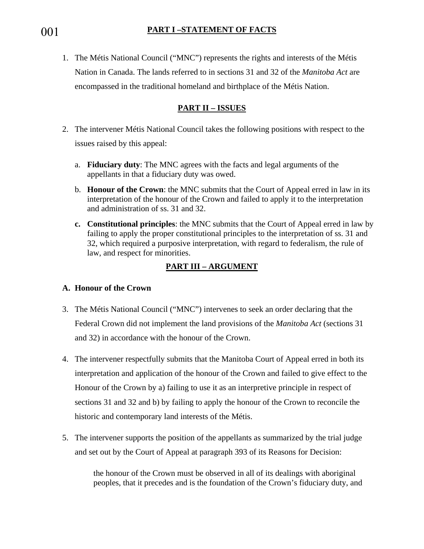1. The Métis National Council ("MNC") represents the rights and interests of the Métis Nation in Canada. The lands referred to in sections 31 and 32 of the *Manitoba Act* are encompassed in the traditional homeland and birthplace of the Métis Nation.

# **PART II – ISSUES**

- 2. The intervener Métis National Council takes the following positions with respect to the issues raised by this appeal:
	- a. **Fiduciary duty**: The MNC agrees with the facts and legal arguments of the appellants in that a fiduciary duty was owed.
	- b. **Honour of the Crown**: the MNC submits that the Court of Appeal erred in law in its interpretation of the honour of the Crown and failed to apply it to the interpretation and administration of ss. 31 and 32.
	- **c. Constitutional principles**: the MNC submits that the Court of Appeal erred in law by failing to apply the proper constitutional principles to the interpretation of ss. 31 and 32, which required a purposive interpretation, with regard to federalism, the rule of law, and respect for minorities.

# **PART III – ARGUMENT**

# **A. Honour of the Crown**

- 3. The Métis National Council ("MNC") intervenes to seek an order declaring that the Federal Crown did not implement the land provisions of the *Manitoba Act* (sections 31 and 32) in accordance with the honour of the Crown.
- 4. The intervener respectfully submits that the Manitoba Court of Appeal erred in both its interpretation and application of the honour of the Crown and failed to give effect to the Honour of the Crown by a) failing to use it as an interpretive principle in respect of sections 31 and 32 and b) by failing to apply the honour of the Crown to reconcile the historic and contemporary land interests of the Métis.
- 5. The intervener supports the position of the appellants as summarized by the trial judge and set out by the Court of Appeal at paragraph 393 of its Reasons for Decision:

the honour of the Crown must be observed in all of its dealings with aboriginal peoples, that it precedes and is the foundation of the Crown's fiduciary duty, and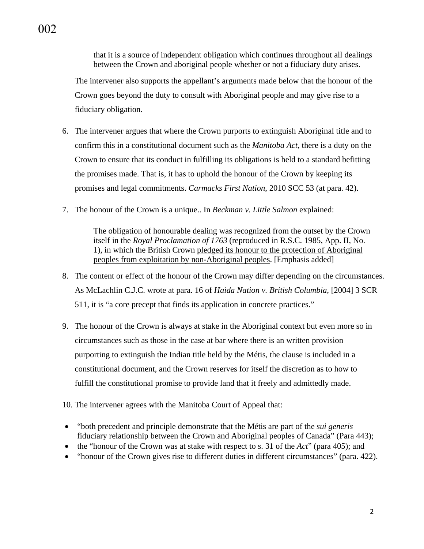that it is a source of independent obligation which continues throughout all dealings between the Crown and aboriginal people whether or not a fiduciary duty arises.

The intervener also supports the appellant's arguments made below that the honour of the Crown goes beyond the duty to consult with Aboriginal people and may give rise to a fiduciary obligation.

- 6. The intervener argues that where the Crown purports to extinguish Aboriginal title and to confirm this in a constitutional document such as the *Manitoba Act*, there is a duty on the Crown to ensure that its conduct in fulfilling its obligations is held to a standard befitting the promises made. That is, it has to uphold the honour of the Crown by keeping its promises and legal commitments. *Carmacks First Nation*, 2010 SCC 53 (at para. 42).
- 7. The honour of the Crown is a unique.. In *Beckman v. Little Salmon* explained:

The obligation of honourable dealing was recognized from the outset by the Crown itself in the *Royal Proclamation of 1763* (reproduced in R.S.C. 1985, App. II, No. 1), in which the British Crown pledged its honour to the protection of Aboriginal peoples from exploitation by non-Aboriginal peoples. [Emphasis added]

- 8. The content or effect of the honour of the Crown may differ depending on the circumstances. As McLachlin C.J.C. wrote at para. 16 of *Haida Nation v. British Columbia,* [2004] 3 SCR 511, it is "a core precept that finds its application in concrete practices."
- 9. The honour of the Crown is always at stake in the Aboriginal context but even more so in circumstances such as those in the case at bar where there is an written provision purporting to extinguish the Indian title held by the Métis, the clause is included in a constitutional document, and the Crown reserves for itself the discretion as to how to fulfill the constitutional promise to provide land that it freely and admittedly made.
- 10. The intervener agrees with the Manitoba Court of Appeal that:
- "both precedent and principle demonstrate that the Métis are part of the *sui generis*  fiduciary relationship between the Crown and Aboriginal peoples of Canada" (Para 443);
- the "honour of the Crown was at stake with respect to s. 31 of the *Act*" (para 405); and
- "honour of the Crown gives rise to different duties in different circumstances" (para. 422).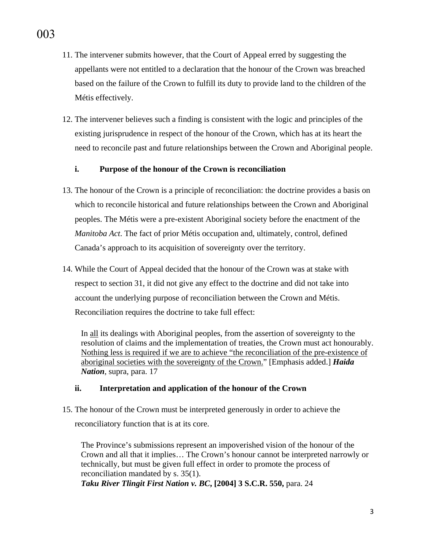- 11. The intervener submits however, that the Court of Appeal erred by suggesting the appellants were not entitled to a declaration that the honour of the Crown was breached based on the failure of the Crown to fulfill its duty to provide land to the children of the Métis effectively.
- 12. The intervener believes such a finding is consistent with the logic and principles of the existing jurisprudence in respect of the honour of the Crown, which has at its heart the need to reconcile past and future relationships between the Crown and Aboriginal people.

# **i. Purpose of the honour of the Crown is reconciliation**

- 13. The honour of the Crown is a principle of reconciliation: the doctrine provides a basis on which to reconcile historical and future relationships between the Crown and Aboriginal peoples. The Métis were a pre-existent Aboriginal society before the enactment of the *Manitoba Act*. The fact of prior Métis occupation and, ultimately, control, defined Canada's approach to its acquisition of sovereignty over the territory.
- 14. While the Court of Appeal decided that the honour of the Crown was at stake with respect to section 31, it did not give any effect to the doctrine and did not take into account the underlying purpose of reconciliation between the Crown and Métis. Reconciliation requires the doctrine to take full effect:

In all its dealings with Aboriginal peoples, from the assertion of sovereignty to the resolution of claims and the implementation of treaties, the Crown must act honourably. Nothing less is required if we are to achieve "the reconciliation of the pre-existence of aboriginal societies with the sovereignty of the Crown." [Emphasis added.] *Haida Nation*, supra, para. 17

# **ii. Interpretation and application of the honour of the Crown**

15. The honour of the Crown must be interpreted generously in order to achieve the reconciliatory function that is at its core.

The Province's submissions represent an impoverished vision of the honour of the Crown and all that it implies… The Crown's honour cannot be interpreted narrowly or technically, but must be given full effect in order to promote the process of reconciliation mandated by s. 35(1).

*Taku River Tlingit First Nation v. BC***, [2004] 3 S.C.R. 550,** para. 24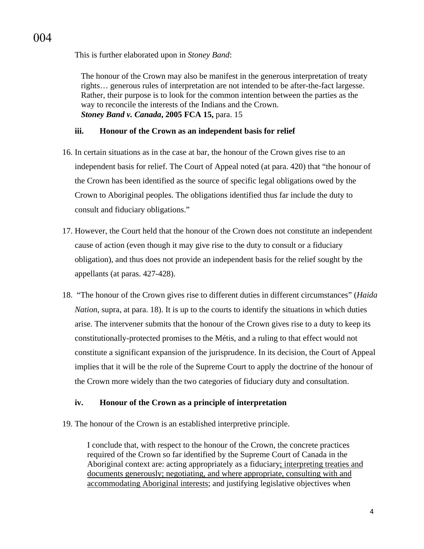This is further elaborated upon in *Stoney Band*:

The honour of the Crown may also be manifest in the generous interpretation of treaty rights… generous rules of interpretation are not intended to be after-the-fact largesse. Rather, their purpose is to look for the common intention between the parties as the way to reconcile the interests of the Indians and the Crown. *Stoney Band v. Canada***, 2005 FCA 15,** para. 15

# **iii. Honour of the Crown as an independent basis for relief**

- 16. In certain situations as in the case at bar, the honour of the Crown gives rise to an independent basis for relief. The Court of Appeal noted (at para. 420) that "the honour of the Crown has been identified as the source of specific legal obligations owed by the Crown to Aboriginal peoples. The obligations identified thus far include the duty to consult and fiduciary obligations."
- 17. However, the Court held that the honour of the Crown does not constitute an independent cause of action (even though it may give rise to the duty to consult or a fiduciary obligation), and thus does not provide an independent basis for the relief sought by the appellants (at paras. 427-428).
- 18. "The honour of the Crown gives rise to different duties in different circumstances" (*Haida Nation*, supra, at para. 18). It is up to the courts to identify the situations in which duties arise. The intervener submits that the honour of the Crown gives rise to a duty to keep its constitutionally-protected promises to the Métis, and a ruling to that effect would not constitute a significant expansion of the jurisprudence. In its decision, the Court of Appeal implies that it will be the role of the Supreme Court to apply the doctrine of the honour of the Crown more widely than the two categories of fiduciary duty and consultation.

# **iv. Honour of the Crown as a principle of interpretation**

19. The honour of the Crown is an established interpretive principle.

I conclude that, with respect to the honour of the Crown, the concrete practices required of the Crown so far identified by the Supreme Court of Canada in the Aboriginal context are: acting appropriately as a fiduciary; interpreting treaties and documents generously; negotiating, and where appropriate, consulting with and accommodating Aboriginal interests; and justifying legislative objectives when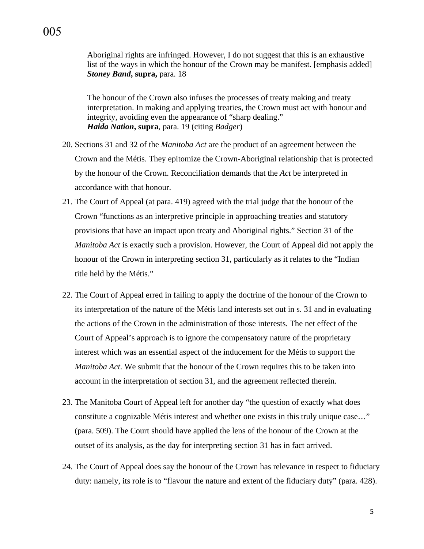Aboriginal rights are infringed. However, I do not suggest that this is an exhaustive list of the ways in which the honour of the Crown may be manifest. [emphasis added] *Stoney Band***, supra,** para. 18

The honour of the Crown also infuses the processes of treaty making and treaty interpretation. In making and applying treaties, the Crown must act with honour and integrity, avoiding even the appearance of "sharp dealing." *Haida Nation***, supra**, para. 19 (citing *Badger*)

- 20. Sections 31 and 32 of the *Manitoba Act* are the product of an agreement between the Crown and the Métis. They epitomize the Crown-Aboriginal relationship that is protected by the honour of the Crown. Reconciliation demands that the *Act* be interpreted in accordance with that honour.
- 21. The Court of Appeal (at para. 419) agreed with the trial judge that the honour of the Crown "functions as an interpretive principle in approaching treaties and statutory provisions that have an impact upon treaty and Aboriginal rights." Section 31 of the *Manitoba Act* is exactly such a provision. However, the Court of Appeal did not apply the honour of the Crown in interpreting section 31, particularly as it relates to the "Indian title held by the Métis."
- 22. The Court of Appeal erred in failing to apply the doctrine of the honour of the Crown to its interpretation of the nature of the Métis land interests set out in s. 31 and in evaluating the actions of the Crown in the administration of those interests. The net effect of the Court of Appeal's approach is to ignore the compensatory nature of the proprietary interest which was an essential aspect of the inducement for the Métis to support the *Manitoba Act*. We submit that the honour of the Crown requires this to be taken into account in the interpretation of section 31, and the agreement reflected therein.
- 23. The Manitoba Court of Appeal left for another day "the question of exactly what does constitute a cognizable Métis interest and whether one exists in this truly unique case…" (para. 509). The Court should have applied the lens of the honour of the Crown at the outset of its analysis, as the day for interpreting section 31 has in fact arrived.
- 24. The Court of Appeal does say the honour of the Crown has relevance in respect to fiduciary duty: namely, its role is to "flavour the nature and extent of the fiduciary duty" (para. 428).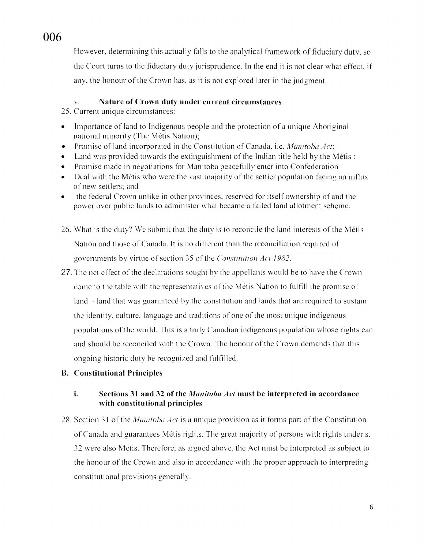006

However, determining this actually falls to the analytical framework of fiduciary duty, so the Court turns to the fiduciary duty jurisprudence. In the end it is not clear what effect, if any. the honour of the Crown has. as it is not explored later in the judgment.

# v. **Nature of Crown duty under current circumstances**

25. Current unique circumstances:

- Importance of land to Indigenous people and the protection of a unique Aboriginal national minority (The Métis Nation);
- Promise of land incorporated in the Constitution of Canada, *i.e. Manitoha Act*;
- Land was provided towards the extinguishment of the Indian title held by the Métis;
- Promise made in negotiations for Manitoba peacefully enter into Confederation
- Deal with the Métis who were the vast majority of the settler population facing an influx of new settlers; and
- the federal Crown unlike in other provinces, reserved for itself ownership of and the power over public lands to administer what became a failed land allotment scheme.
- 26, What is the duty? We submit that the duty is to reconcile the land interests of the Metis Nation and those of Canada. It is no different than the reconciliation required of governments by virtue of section 35 of the *Constitution Act 1982*.
- 27. The net effect of the declarations sought by the appellants would be to have the Crown come to the table with the representatives of the Métis Nation to fulfill the promise of land  $\sim$  land that was guaranteed by the constitution and lands that are required to sustain the identity, culture, language and traditions of one of the most unique indigenous populations of the world. This is a truly Canadian indigenous population whose rights can and should be reconciled with the Crown. The honour of the Crown demands that this ongoing historic duty be recognized and fulfilled.
- **B. Constitutional Principles**

# **i. Sections 31 and 32 of the** *Munitoba Act* **must be interpreted in accordance with constitutional principles**

28. Section 31 of the *Manitoba Act* is a unique provision as it forms part of the Constitution or Canada and guarantees Metis rights. The great majority of persons with rights under s. 32 were also Metis. Therefore. as argued above, the Act must be interpreted as subject to the honour of the Crown and also in accordance with the proper approach to interpreting constitutional provisions generally.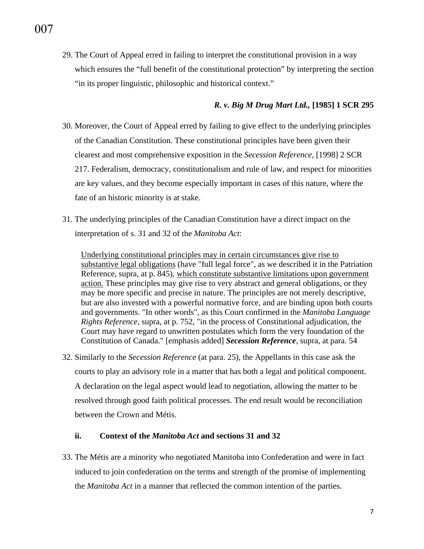29. The Court of Appeal erred in failing to interpret the constitutional provision in a way which ensures the "full benefit of the constitutional protection" by interpreting the section "in its proper linguistic, philosophic and historical context."

# *R. v. Big M Drug Mart Ltd.,* **[1985] 1 SCR 295**

- 30. Moreover, the Court of Appeal erred by failing to give effect to the underlying principles of the Canadian Constitution. These constitutional principles have been given their clearest and most comprehensive exposition in the *Secession Reference,* [1998] 2 SCR 217. Federalism, democracy, constitutionalism and rule of law, and respect for minorities are key values, and they become especially important in cases of this nature, where the fate of an historic minority is at stake.
- 31. The underlying principles of the Canadian Constitution have a direct impact on the interpretation of s. 31 and 32 of the *Manitoba Act*:

Underlying constitutional principles may in certain circumstances give rise to substantive legal obligations (have "full legal force", as we described it in the Patriation Reference, supra, at p. 845), which constitute substantive limitations upon government action. These principles may give rise to very abstract and general obligations, or they may be more specific and precise in nature. The principles are not merely descriptive, but are also invested with a powerful normative force, and are binding upon both courts and governments. "In other words", as this Court confirmed in the *Manitoba Language Rights Reference*, supra, at p. 752, "in the process of Constitutional adjudication, the Court may have regard to unwritten postulates which form the very foundation of the Constitution of Canada." [emphasis added] *Secession Reference,* supra, at para. 54

32. Similarly to the *Secession Reference* (at para. 25), the Appellants in this case ask the courts to play an advisory role in a matter that has both a legal and political component. A declaration on the legal aspect would lead to negotiation, allowing the matter to be resolved through good faith political processes. The end result would be reconciliation between the Crown and Métis.

# **ii. Context of the** *Manitoba Act* **and sections 31 and 32**

33. The Métis are a minority who negotiated Manitoba into Confederation and were in fact induced to join confederation on the terms and strength of the promise of implementing the *Manitoba Act* in a manner that reflected the common intention of the parties.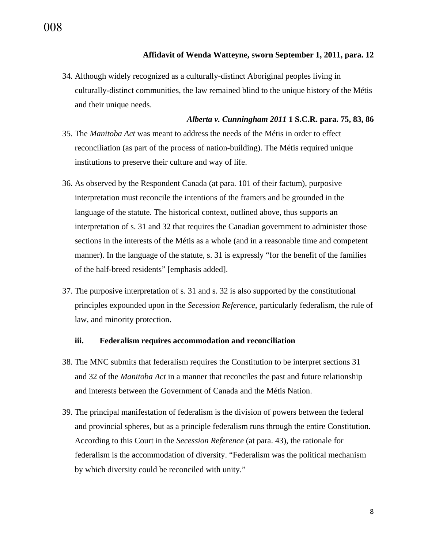### **Affidavit of Wenda Watteyne, sworn September 1, 2011, para. 12**

34. Although widely recognized as a culturally-distinct Aboriginal peoples living in culturally-distinct communities, the law remained blind to the unique history of the Métis and their unique needs.

### *Alberta v. Cunningham 2011* **1 S.C.R. para. 75, 83, 86**

- 35. The *Manitoba Act* was meant to address the needs of the Métis in order to effect reconciliation (as part of the process of nation-building). The Métis required unique institutions to preserve their culture and way of life.
- 36. As observed by the Respondent Canada (at para. 101 of their factum), purposive interpretation must reconcile the intentions of the framers and be grounded in the language of the statute. The historical context, outlined above, thus supports an interpretation of s. 31 and 32 that requires the Canadian government to administer those sections in the interests of the Métis as a whole (and in a reasonable time and competent manner). In the language of the statute, s. 31 is expressly "for the benefit of the families of the half-breed residents" [emphasis added].
- 37. The purposive interpretation of s. 31 and s. 32 is also supported by the constitutional principles expounded upon in the *Secession Reference*, particularly federalism, the rule of law, and minority protection.

### **iii. Federalism requires accommodation and reconciliation**

- 38. The MNC submits that federalism requires the Constitution to be interpret sections 31 and 32 of the *Manitoba Act* in a manner that reconciles the past and future relationship and interests between the Government of Canada and the Métis Nation.
- 39. The principal manifestation of federalism is the division of powers between the federal and provincial spheres, but as a principle federalism runs through the entire Constitution. According to this Court in the *Secession Reference* (at para. 43), the rationale for federalism is the accommodation of diversity. "Federalism was the political mechanism by which diversity could be reconciled with unity."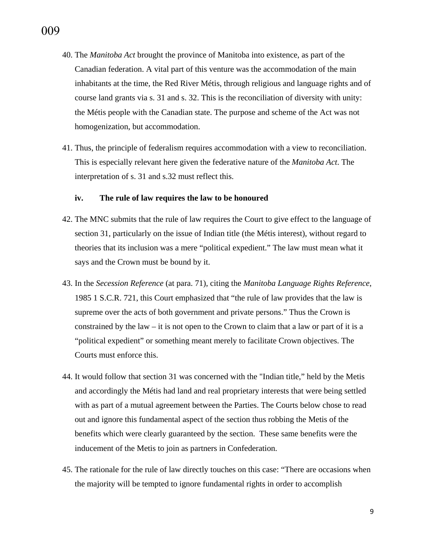- 40. The *Manitoba Act* brought the province of Manitoba into existence, as part of the Canadian federation. A vital part of this venture was the accommodation of the main inhabitants at the time, the Red River Métis, through religious and language rights and of course land grants via s. 31 and s. 32. This is the reconciliation of diversity with unity: the Métis people with the Canadian state. The purpose and scheme of the Act was not homogenization, but accommodation.
- 41. Thus, the principle of federalism requires accommodation with a view to reconciliation. This is especially relevant here given the federative nature of the *Manitoba Act*. The interpretation of s. 31 and s.32 must reflect this.

# **iv. The rule of law requires the law to be honoured**

- 42. The MNC submits that the rule of law requires the Court to give effect to the language of section 31, particularly on the issue of Indian title (the Métis interest), without regard to theories that its inclusion was a mere "political expedient." The law must mean what it says and the Crown must be bound by it.
- 43. In the *Secession Reference* (at para. 71), citing the *Manitoba Language Rights Reference*, 1985 1 S.C.R. 721, this Court emphasized that "the rule of law provides that the law is supreme over the acts of both government and private persons." Thus the Crown is constrained by the law – it is not open to the Crown to claim that a law or part of it is a "political expedient" or something meant merely to facilitate Crown objectives. The Courts must enforce this.
- 44. It would follow that section 31 was concerned with the "Indian title," held by the Metis and accordingly the Métis had land and real proprietary interests that were being settled with as part of a mutual agreement between the Parties. The Courts below chose to read out and ignore this fundamental aspect of the section thus robbing the Metis of the benefits which were clearly guaranteed by the section. These same benefits were the inducement of the Metis to join as partners in Confederation.
- 45. The rationale for the rule of law directly touches on this case: "There are occasions when the majority will be tempted to ignore fundamental rights in order to accomplish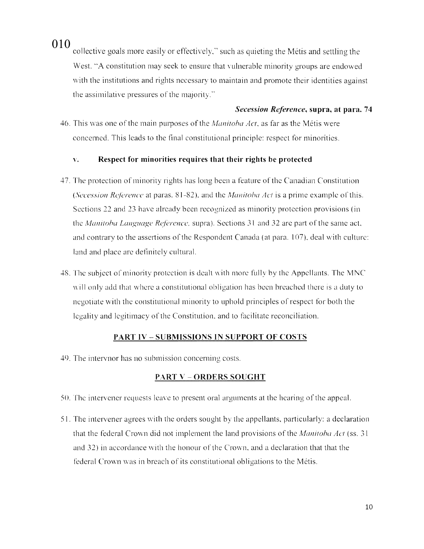# 010

co llective goals more easily or effectively." such as quieting the Metis and settling the West. "A constitution may seek to ensure that vulnerable minority groups are endowed with the institutions and rights necessary to maintain and promote their identities against the assimilative pressures of the majority."

# *Secession Reference,* **supra, at para. 74**

46. This was one of the main purposes of the *Manitoha Act.* as far as the Metis were concerned. This leads to the final constitutional principle: respect for minorities.

# **v. Respect for minorities requires that their rights be protected**

- 47. The protection of minority rights has long been a feature of the Canadian Constitution *(Secession Reference* at paras. 81-82), and the *Manitoha Act* is a prime example of this. Sections 22 and 23 have already been recognized as minority protection provisions (in the *Manitoha Language Reference*, supra). Sections 31 and 32 arc part of the same act, and contrary to the assertions of the Respondent Canada (at para. 107), deal with culture: land and place arc definitely cultural.
- 48. The subject of minority protection is dealt with more fully by the Appellants. The MNC will only add that where a constitutional obligation has been breached there is a duty to negotiate with the constitutional minority to uphold principles of respect for both the legality and legitimacy of the Constitution, and to facilitate reconciliation.

# **PART IV - SUBMISSIONS IN SUPPORT OF COSTS**

49. The intervnor has no submission concerning costs.

# **PART V - ORDERS SOUGHT**

- 50. The intervener requests leave to present oral arguments at the hearing of the appeal.
- 51. The intervener agrees with the orders sought by the appellants, particularly: a declaration that the federal Crown did not implement the land provisions of the *Mallitoha Act* (ss. 31 and 32) in accordance with the honour of the Crown. and a declaration that that the federal Crown was in breach of its constitutional obligations to the Métis.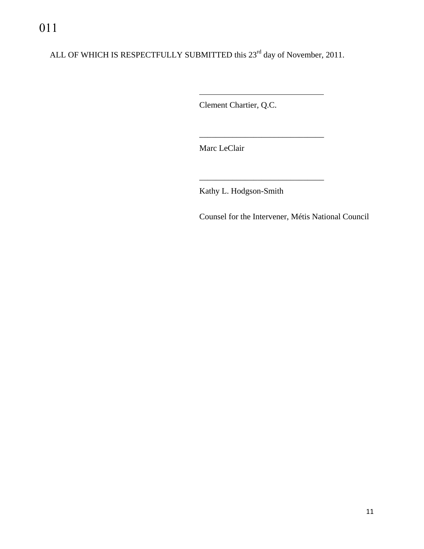# ALL OF WHICH IS RESPECTFULLY SUBMITTED this 23<sup>rd</sup> day of November, 2011.

 $\frac{1}{\sqrt{2}}$  ,  $\frac{1}{\sqrt{2}}$  ,  $\frac{1}{\sqrt{2}}$  ,  $\frac{1}{\sqrt{2}}$  ,  $\frac{1}{\sqrt{2}}$  ,  $\frac{1}{\sqrt{2}}$  ,  $\frac{1}{\sqrt{2}}$  ,  $\frac{1}{\sqrt{2}}$  ,  $\frac{1}{\sqrt{2}}$  ,  $\frac{1}{\sqrt{2}}$  ,  $\frac{1}{\sqrt{2}}$  ,  $\frac{1}{\sqrt{2}}$  ,  $\frac{1}{\sqrt{2}}$  ,  $\frac{1}{\sqrt{2}}$  ,  $\frac{1}{\sqrt{2}}$ 

 $\frac{1}{\sqrt{2}}$  ,  $\frac{1}{\sqrt{2}}$  ,  $\frac{1}{\sqrt{2}}$  ,  $\frac{1}{\sqrt{2}}$  ,  $\frac{1}{\sqrt{2}}$  ,  $\frac{1}{\sqrt{2}}$  ,  $\frac{1}{\sqrt{2}}$  ,  $\frac{1}{\sqrt{2}}$  ,  $\frac{1}{\sqrt{2}}$  ,  $\frac{1}{\sqrt{2}}$  ,  $\frac{1}{\sqrt{2}}$  ,  $\frac{1}{\sqrt{2}}$  ,  $\frac{1}{\sqrt{2}}$  ,  $\frac{1}{\sqrt{2}}$  ,  $\frac{1}{\sqrt{2}}$ 

Clement Chartier, Q.C.

Marc LeClair

Kathy L. Hodgson-Smith

Counsel for the Intervener, Métis National Council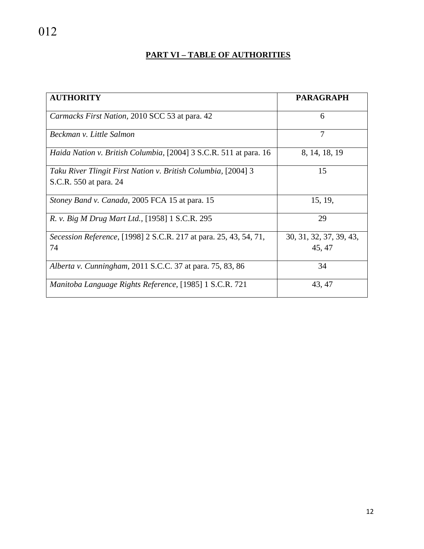# **PART VI – TABLE OF AUTHORITIES**

| <b>AUTHORITY</b>                                                  | <b>PARAGRAPH</b>        |  |  |
|-------------------------------------------------------------------|-------------------------|--|--|
| Carmacks First Nation, 2010 SCC 53 at para. 42                    | 6                       |  |  |
| Beckman v. Little Salmon                                          | 7                       |  |  |
| Haida Nation v. British Columbia, [2004] 3 S.C.R. 511 at para. 16 | 8, 14, 18, 19           |  |  |
| Taku River Tlingit First Nation v. British Columbia, [2004] 3     | 15                      |  |  |
| S.C.R. 550 at para. 24                                            |                         |  |  |
| Stoney Band v. Canada, 2005 FCA 15 at para. 15                    | 15, 19,                 |  |  |
| R. v. Big M Drug Mart Ltd., [1958] 1 S.C.R. 295                   | 29                      |  |  |
| Secession Reference, [1998] 2 S.C.R. 217 at para. 25, 43, 54, 71, | 30, 31, 32, 37, 39, 43, |  |  |
| 74                                                                | 45, 47                  |  |  |
| Alberta v. Cunningham, 2011 S.C.C. 37 at para. 75, 83, 86         | 34                      |  |  |
| Manitoba Language Rights Reference, [1985] 1 S.C.R. 721           | 43, 47                  |  |  |

012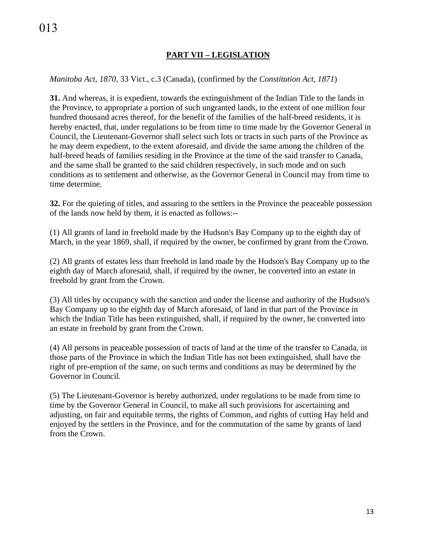# **PART VII – LEGISLATION**

*Manitoba Act, 1870,* 33 Vict., c.3 (Canada), (confirmed by the *Constitution Act, 1871*)

**31.** And whereas, it is expedient, towards the extinguishment of the Indian Title to the lands in the Province, to appropriate a portion of such ungranted lands, to the extent of one million four hundred thousand acres thereof, for the benefit of the families of the half-breed residents, it is hereby enacted, that, under regulations to be from time to time made by the Governor General in Council, the Lieutenant-Governor shall select such lots or tracts in such parts of the Province as he may deem expedient, to the extent aforesaid, and divide the same among the children of the half-breed heads of families residing in the Province at the time of the said transfer to Canada, and the same shall be granted to the said children respectively, in such mode and on such conditions as to settlement and otherwise, as the Governor General in Council may from time to time determine.

**32.** For the quieting of titles, and assuring to the settlers in the Province the peaceable possession of the lands now held by them, it is enacted as follows:--

(1) All grants of land in freehold made by the Hudson's Bay Company up to the eighth day of March, in the year 1869, shall, if required by the owner, be confirmed by grant from the Crown.

(2) All grants of estates less than freehold in land made by the Hudson's Bay Company up to the eighth day of March aforesaid, shall, if required by the owner, be converted into an estate in freehold by grant from the Crown.

(3) All titles by occupancy with the sanction and under the license and authority of the Hudson's Bay Company up to the eighth day of March aforesaid, of land in that part of the Province in which the Indian Title has been extinguished, shall, if required by the owner, be converted into an estate in freehold by grant from the Crown.

(4) All persons in peaceable possession of tracts of land at the time of the transfer to Canada, in those parts of the Province in which the Indian Title has not been extinguished, shall have the right of pre-emption of the same, on such terms and conditions as may be determined by the Governor in Council.

(5) The Lieutenant-Governor is hereby authorized, under regulations to be made from time to time by the Governor General in Council, to make all such provisions for ascertaining and adjusting, on fair and equitable terms, the rights of Common, and rights of cutting Hay held and enjoyed by the settlers in the Province, and for the commutation of the same by grants of land from the Crown.